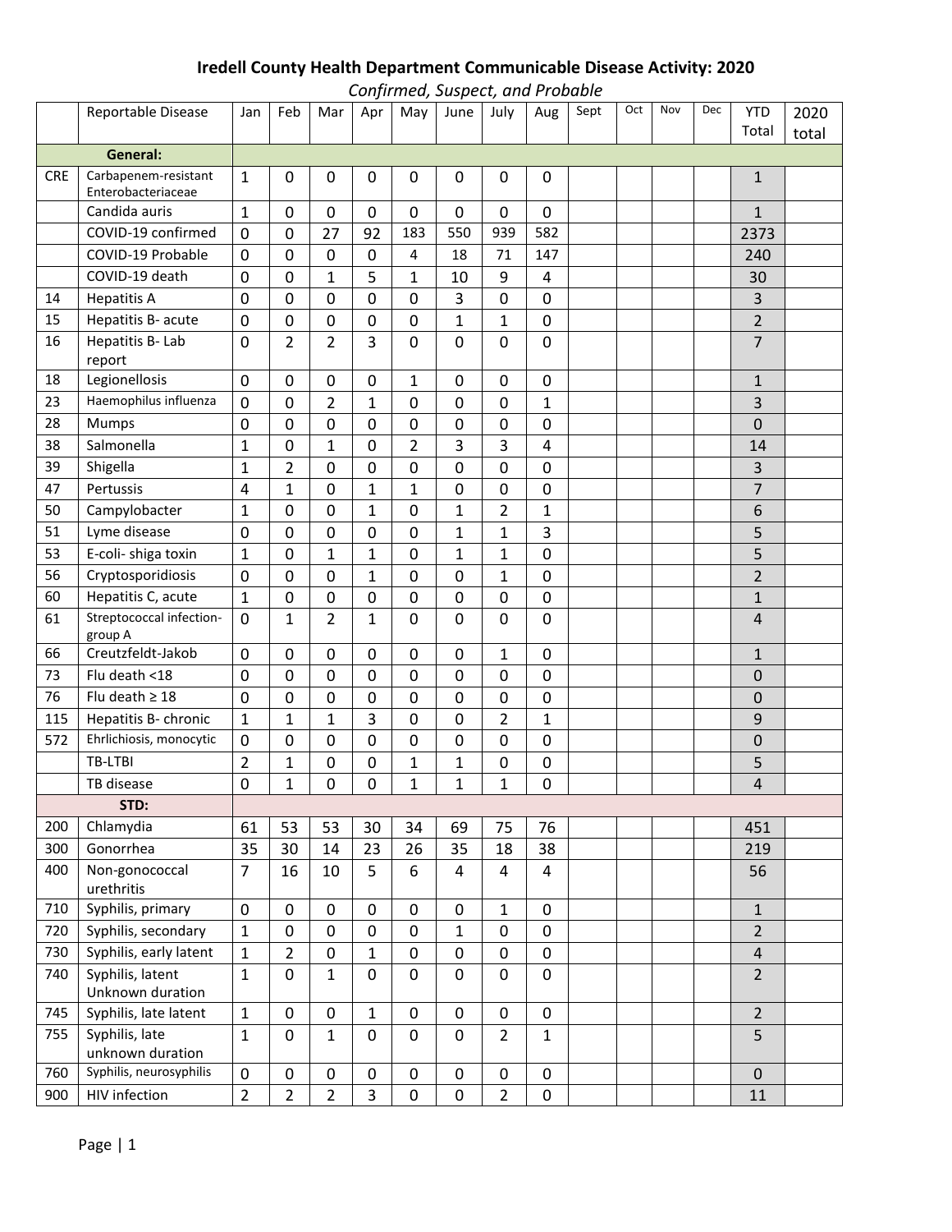## **Iredell County Health Department Communicable Disease Activity: 2020**

|            | Confirmed, Suspect, and Probable           |                |                |                |                |              |                |                |              |      |     |     |     |                         |       |
|------------|--------------------------------------------|----------------|----------------|----------------|----------------|--------------|----------------|----------------|--------------|------|-----|-----|-----|-------------------------|-------|
|            | Reportable Disease                         | Jan            | Feb            | Mar            | Apr            | May          | June           | July           | Aug          | Sept | Oct | Nov | Dec | <b>YTD</b>              | 2020  |
|            |                                            |                |                |                |                |              |                |                |              |      |     |     |     | Total                   | total |
|            | General:                                   |                |                |                |                |              |                |                |              |      |     |     |     |                         |       |
| <b>CRE</b> | Carbapenem-resistant<br>Enterobacteriaceae | $\mathbf{1}$   | 0              | 0              | 0              | 0            | 0              | 0              | 0            |      |     |     |     | 1                       |       |
|            | Candida auris                              | 1              | 0              | 0              | 0              | 0            | 0              | 0              | 0            |      |     |     |     | $\mathbf{1}$            |       |
|            | COVID-19 confirmed                         | 0              | $\mathbf 0$    | 27             | 92             | 183          | 550            | 939            | 582          |      |     |     |     | 2373                    |       |
|            | COVID-19 Probable                          | 0              | 0              | 0              | 0              | 4            | 18             | 71             | 147          |      |     |     |     | 240                     |       |
|            | COVID-19 death                             | 0              | 0              | 1              | 5              | 1            | 10             | 9              | 4            |      |     |     |     | 30                      |       |
| 14         | <b>Hepatitis A</b>                         | 0              | 0              | 0              | 0              | $\mathbf 0$  | 3              | 0              | 0            |      |     |     |     | 3                       |       |
| 15         | Hepatitis B- acute                         | 0              | 0              | 0              | 0              | 0            | $\mathbf{1}$   | $\mathbf{1}$   | 0            |      |     |     |     | $\overline{2}$          |       |
| 16         | Hepatitis B- Lab<br>report                 | 0              | 2              | $\overline{2}$ | 3              | 0            | 0              | 0              | 0            |      |     |     |     | $\overline{7}$          |       |
| 18         | Legionellosis                              | 0              | 0              | 0              | 0              | 1            | 0              | 0              | 0            |      |     |     |     | $\mathbf{1}$            |       |
| 23         | Haemophilus influenza                      | 0              | 0              | $\overline{2}$ | $\mathbf{1}$   | 0            | $\mathbf{0}$   | 0              | 1            |      |     |     |     | 3                       |       |
| 28         | <b>Mumps</b>                               | 0              | 0              | 0              | 0              | $\mathbf{0}$ | 0              | 0              | 0            |      |     |     |     | 0                       |       |
| 38         | Salmonella                                 | 1              | 0              | 1              | 0              | 2            | 3              | 3              | 4            |      |     |     |     | 14                      |       |
| 39         | Shigella                                   | $\mathbf{1}$   | 2              | 0              | 0              | $\mathbf 0$  | 0              | 0              | 0            |      |     |     |     | 3                       |       |
| 47         | Pertussis                                  | 4              | 1              | 0              | 1              | 1            | 0              | 0              | 0            |      |     |     |     | 7                       |       |
| 50         | Campylobacter                              | 1              | 0              | 0              | 1              | 0            | 1              | $\overline{2}$ | 1            |      |     |     |     | 6                       |       |
| 51         | Lyme disease                               | 0              | 0              | 0              | 0              | $\mathbf 0$  | 1              | $\mathbf{1}$   | 3            |      |     |     |     | 5                       |       |
| 53         | E-coli- shiga toxin                        | 1              | $\mathbf 0$    | $\mathbf{1}$   | $\mathbf{1}$   | 0            | 1              | $\mathbf{1}$   | 0            |      |     |     |     | 5                       |       |
| 56         | Cryptosporidiosis                          | 0              | 0              | 0              | 1              | 0            | 0              | 1              | 0            |      |     |     |     | $\overline{2}$          |       |
| 60         | Hepatitis C, acute                         | 1              | 0              | 0              | 0              | 0            | 0              | 0              | 0            |      |     |     |     | $\mathbf{1}$            |       |
| 61         | Streptococcal infection-<br>group A        | 0              | 1              | $\overline{2}$ | 1              | 0            | 0              | 0              | 0            |      |     |     |     | 4                       |       |
| 66         | Creutzfeldt-Jakob                          | 0              | $\Omega$       | 0              | 0              | 0            | 0              | $\mathbf{1}$   | 0            |      |     |     |     | $\mathbf{1}$            |       |
| 73         | Flu death <18                              | 0              | 0              | 0              | 0              | 0            | 0              | 0              | 0            |      |     |     |     | 0                       |       |
| 76         | Flu death $\geq 18$                        | 0              | 0              | 0              | 0              | 0            | 0              | 0              | 0            |      |     |     |     | 0                       |       |
| 115        | Hepatitis B- chronic                       | 1              | 1              | $\mathbf{1}$   | 3              | $\mathbf 0$  | 0              | $\overline{2}$ | $\mathbf{1}$ |      |     |     |     | 9                       |       |
| 572        | Ehrlichiosis, monocytic                    | 0              | 0              | 0              | 0              | $\mathbf 0$  | 0              | 0              | 0            |      |     |     |     | 0                       |       |
|            | TB-LTBI                                    | 2              | 1              | 0              | 0              | 1            | 1              | 0              | 0            |      |     |     |     | 5                       |       |
|            | TB disease                                 | 0              | 1              | 0              | 0              | $\mathbf{1}$ | 1              | $\mathbf{1}$   | 0            |      |     |     |     | 4                       |       |
|            | STD:                                       |                |                |                |                |              |                |                |              |      |     |     |     |                         |       |
| 200        | Chlamydia                                  | 61             | 53             | 53             | 30             | 34           | 69             | 75             | 76           |      |     |     |     | 451                     |       |
| 300        | Gonorrhea                                  | 35             | 30             | 14             | 23             | 26           | 35             | 18             | 38           |      |     |     |     | 219                     |       |
| 400        | Non-gonococcal<br>urethritis               | $\overline{7}$ | 16             | 10             | 5              | 6            | $\overline{4}$ | 4              | 4            |      |     |     |     | 56                      |       |
| 710        | Syphilis, primary                          | 0              | $\mathbf 0$    | 0              | $\mathbf 0$    | $\mathbf 0$  | $\mathbf 0$    | $\mathbf{1}$   | 0            |      |     |     |     | $\mathbf{1}$            |       |
| 720        | Syphilis, secondary                        | $\mathbf{1}$   | $\pmb{0}$      | 0              | 0              | $\mathbf 0$  | 1              | 0              | 0            |      |     |     |     | $\overline{2}$          |       |
| 730        | Syphilis, early latent                     | $\mathbf{1}$   | $\overline{2}$ | 0              | $\mathbf{1}$   | $\mathbf 0$  | $\mathbf 0$    | 0              | 0            |      |     |     |     | $\overline{\mathbf{4}}$ |       |
| 740        | Syphilis, latent<br>Unknown duration       | $\mathbf{1}$   | $\mathbf 0$    | $\mathbf{1}$   | 0              | 0            | $\mathbf 0$    | 0              | 0            |      |     |     |     | $\overline{2}$          |       |
| 745        | Syphilis, late latent                      | $\mathbf{1}$   | 0              | 0              | $\mathbf{1}$   | $\mathbf 0$  | 0              | 0              | 0            |      |     |     |     | $\overline{2}$          |       |
| 755        | Syphilis, late<br>unknown duration         | $\mathbf{1}$   | $\mathbf 0$    | $\mathbf{1}$   | 0              | $\mathbf 0$  | $\mathbf 0$    | $\overline{2}$ | $\mathbf{1}$ |      |     |     |     | 5                       |       |
| 760        | Syphilis, neurosyphilis                    | $\pmb{0}$      | $\pmb{0}$      | 0              | 0              | $\pmb{0}$    | $\pmb{0}$      | 0              | 0            |      |     |     |     | $\pmb{0}$               |       |
| 900        | HIV infection                              | $\overline{2}$ | $\overline{2}$ | $\overline{2}$ | $\overline{3}$ | $\mathbf 0$  | $\pmb{0}$      | $\overline{2}$ | $\pmb{0}$    |      |     |     |     | $11\,$                  |       |